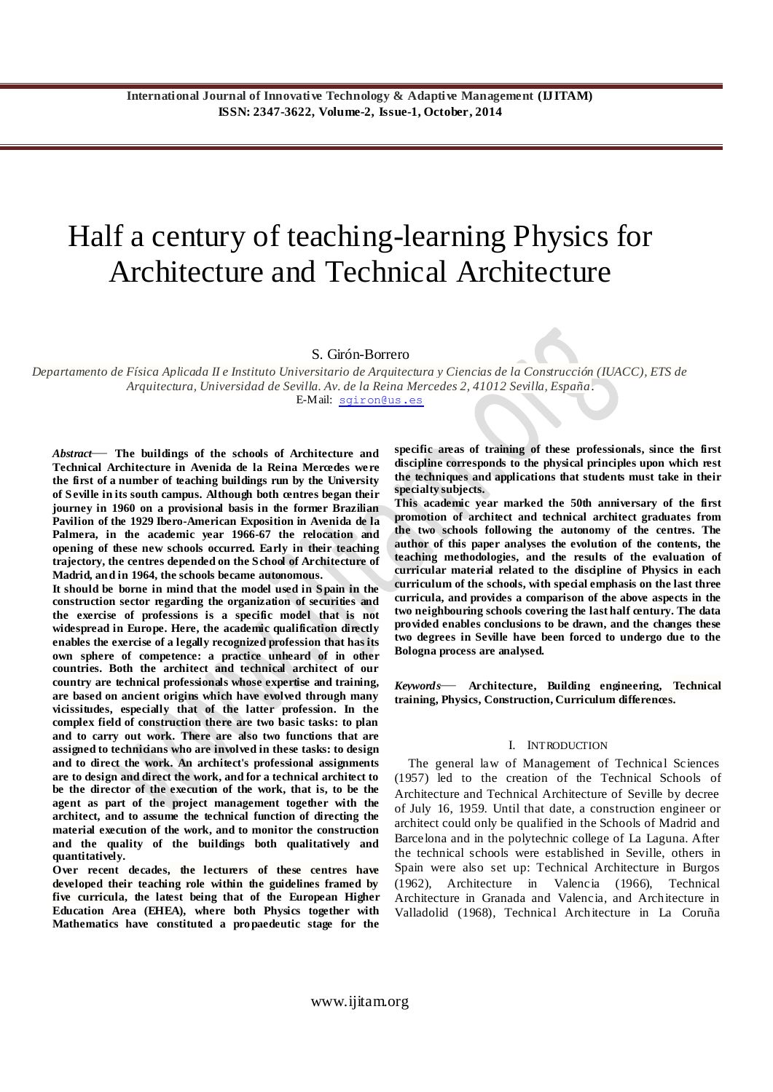# Half a century of teaching-learning Physics for Architecture and Technical Architecture

S. Girón-Borrero

*Departamento de Física Aplicada II e Instituto Universitario de Arquitectura y Ciencias de la Construcción (IUACC), ETS de Arquitectura, Universidad de Sevilla. Av. de la Reina Mercedes 2, 41012 Sevilla, España.* E-Mail: [sgiron@us.es](mailto:sgiron@us.es)

*Abstract*— **The buildings of the schools of Architecture and Technical Architecture in Avenida de la Reina Mercedes we re the first of a number of teaching buildings run by the University of Seville in its south campus. Although both centres began their journey in 1960 on a provisional basis in the former Brazilian Pavilion of the 1929 Ibero-American Exposition in Avenida de la Palmera, in the academic year 1966-67 the relocation and opening of these new schools occurred. Early in their teaching trajectory, the centres depended on the School of Architecture of Madrid, and in 1964, the schools became autonomous.**

**It should be borne in mind that the model used in Spain in the construction sector regarding the organization of securities and the exercise of professions is a specific model that is not widespread in Europe. Here, the academic qualification directly enables the exercise of a legally recognized profession that has its own sphere of competence: a practice unheard of in other countries. Both the architect and technical architect of our country are technical professionals whose expertise and training, are based on ancient origins which have evolved through many vicissitudes, especially that of the latter profession. In the complex field of construction there are two basic tasks: to plan and to carry out work. There are also two functions that are assigned to technicians who are involved in these tasks: to design and to direct the work. An architect's professional assignments are to design and direct the work, and for a technical architect to be the director of the execution of the work, that is, to be the agent as part of the project management together with the architect, and to assume the technical function of directing the material execution of the work, and to monitor the construction and the quality of the buildings both qualitatively and quantitatively.**

**Over recent decades, the lecturers of these centres have developed their teaching role within the guidelines framed by five curricula, the latest being that of the European Higher Education Area (EHEA), where both Physics together with Mathematics have constituted a propaedeutic stage for the** 

**specific areas of training of these professionals, since the first discipline corresponds to the physical principles upon which rest the techniques and applications that students must take in their specialty subjects.**

**This academic year marked the 50th anniversary of the first promotion of architect and technical architect graduates from the two schools following the autonomy of the centres. The author of this paper analyses the evolution of the contents, the teaching methodologies, and the results of the evaluation of curricular material related to the discipline of Physics in each curriculum of the schools, with special emphasis on the last three curricula, and provides a comparison of the above aspects in the two neighbouring schools covering the last half century. The data provided enables conclusions to be drawn, and the changes these two degrees in Seville have been forced to undergo due to the Bologna process are analysed.**

*Keywords*— **Architecture, Building engineering, Technical training, Physics, Construction, Curriculum differences.**

#### I. INTRODUCTION

The general law of Management of Technical Sciences (1957) led to the creation of the Technical Schools of Architecture and Technical Architecture of Seville by decree of July 16, 1959. Until that date, a construction engineer or architect could only be qualified in the Schools of Madrid and Barcelona and in the polytechnic college of La Laguna. After the technical schools were established in Seville, others in Spain were also set up: Technical Architecture in Burgos (1962), Architecture in Valencia (1966), Technical Architecture in Granada and Valencia, and Architecture in Valladolid (1968), Technical Architecture in La Coruña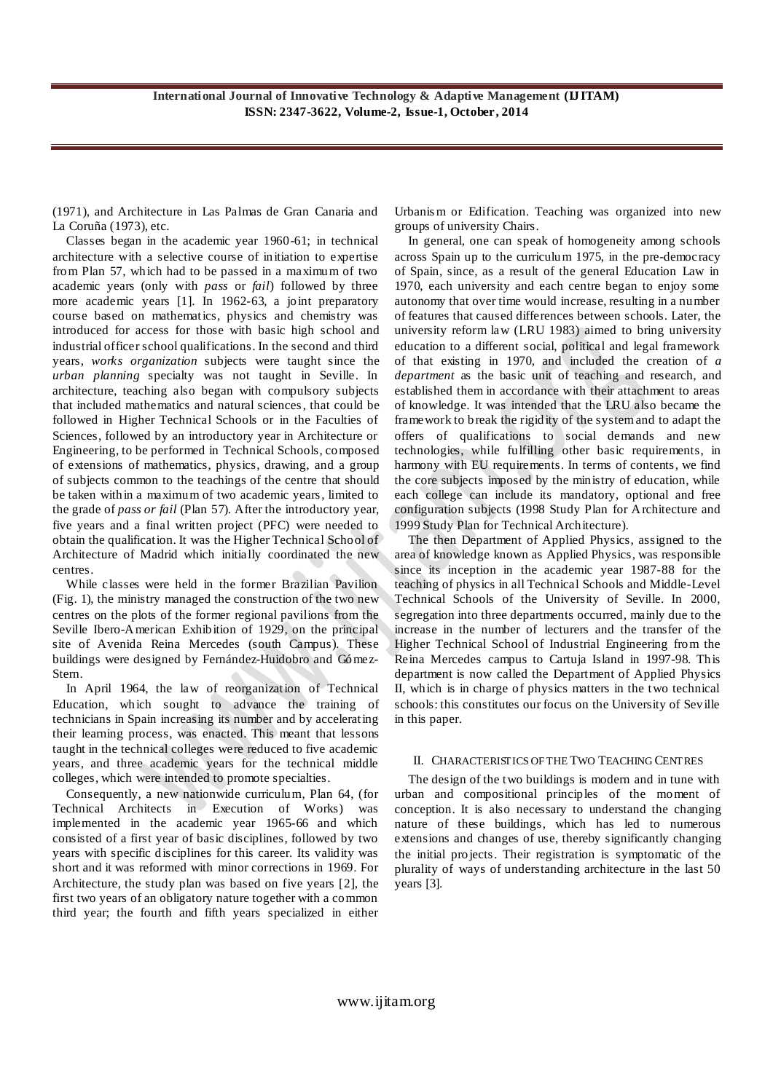(1971), and Architecture in Las Palmas de Gran Canaria and La Coruña (1973), etc.

Classes began in the academic year 1960-61; in technical architecture with a selective course of initiation to expertise from Plan 57, which had to be passed in a maximum of two academic years (only with *pass* or *fail*) followed by three more academic years [1]. In 1962-63, a joint preparatory course based on mathematics, physics and chemistry was introduced for access for those with basic high school and industrial officer school qualifications. In the second and third years, *works organization* subjects were taught since the *urban planning* specialty was not taught in Seville. In architecture, teaching also began with compulsory subjects that included mathematics and natural sciences, that could be followed in Higher Technical Schools or in the Faculties of Sciences, followed by an introductory year in Architecture or Engineering, to be performed in Technical Schools, composed of extensions of mathematics, physics, drawing, and a group of subjects common to the teachings of the centre that should be taken within a maximum of two academic years, limited to the grade of *pass or fail* (Plan 57). After the introductory year, five years and a final written project (PFC) were needed to obtain the qualification. It was the Higher Technical School of Architecture of Madrid which initially coordinated the new centres.

While classes were held in the former Brazilian Pavilion (Fig. 1), the ministry managed the construction of the two new centres on the plots of the former regional pavilions from the Seville Ibero-American Exhibition of 1929, on the principal site of Avenida Reina Mercedes (south Campus). These buildings were designed by Fernández-Huidobro and Gómez-Stern.

In April 1964, the law of reorganization of Technical Education, which sought to advance the training of technicians in Spain increasing its number and by accelerating their learning process, was enacted. This meant that lessons taught in the technical colleges were reduced to five academic years, and three academic years for the technical middle colleges, which were intended to promote specialties.

Consequently, a new nationwide curriculum, Plan 64, (for Technical Architects in Execution of Works) was implemented in the academic year 1965-66 and which consisted of a first year of basic disciplines, followed by two years with specific disciplines for this career. Its validity was short and it was reformed with minor corrections in 1969. For Architecture, the study plan was based on five years [2], the first two years of an obligatory nature together with a common third year; the fourth and fifth years specialized in either Urbanis m or Edification. Teaching was organized into new groups of university Chairs.

In general, one can speak of homogeneity among schools across Spain up to the curriculum 1975, in the pre-democracy of Spain, since, as a result of the general Education Law in 1970, each university and each centre began to enjoy some autonomy that over time would increase, resulting in a number of features that caused differences between schools. Later, the university reform law (LRU 1983) aimed to bring university education to a different social, political and legal framework of that existing in 1970, and included the creation of *a department* as the basic unit of teaching and research, and established them in accordance with their attachment to areas of knowledge. It was intended that the LRU also became the framework to break the rigidity of the system and to adapt the offers of qualifications to social demands and new technologies, while fulfilling other basic requirements, in harmony with EU requirements. In terms of contents, we find the core subjects imposed by the ministry of education, while each college can include its mandatory, optional and free configuration subjects (1998 Study Plan for Architecture and 1999 Study Plan for Technical Architecture).

The then Department of Applied Physics, assigned to the area of knowledge known as Applied Physics, was responsible since its inception in the academic year 1987-88 for the teaching of physics in all Technical Schools and Middle-Level Technical Schools of the University of Seville. In 2000, segregation into three departments occurred, mainly due to the increase in the number of lecturers and the transfer of the Higher Technical School of Industrial Engineering from the Reina Mercedes campus to Cartuja Island in 1997-98. This department is now called the Department of Applied Physics II, which is in charge of physics matters in the two technical schools: this constitutes our focus on the University of Seville in this paper.

# II. CHARACTERISTICS OF THE TWO TEACHING CENTRES

The design of the two buildings is modern and in tune with urban and compositional principles of the moment of conception. It is also necessary to understand the changing nature of these buildings, which has led to numerous extensions and changes of use, thereby significantly changing the initial projects. Their registration is symptomatic of the plurality of ways of understanding architecture in the last 50 years [3].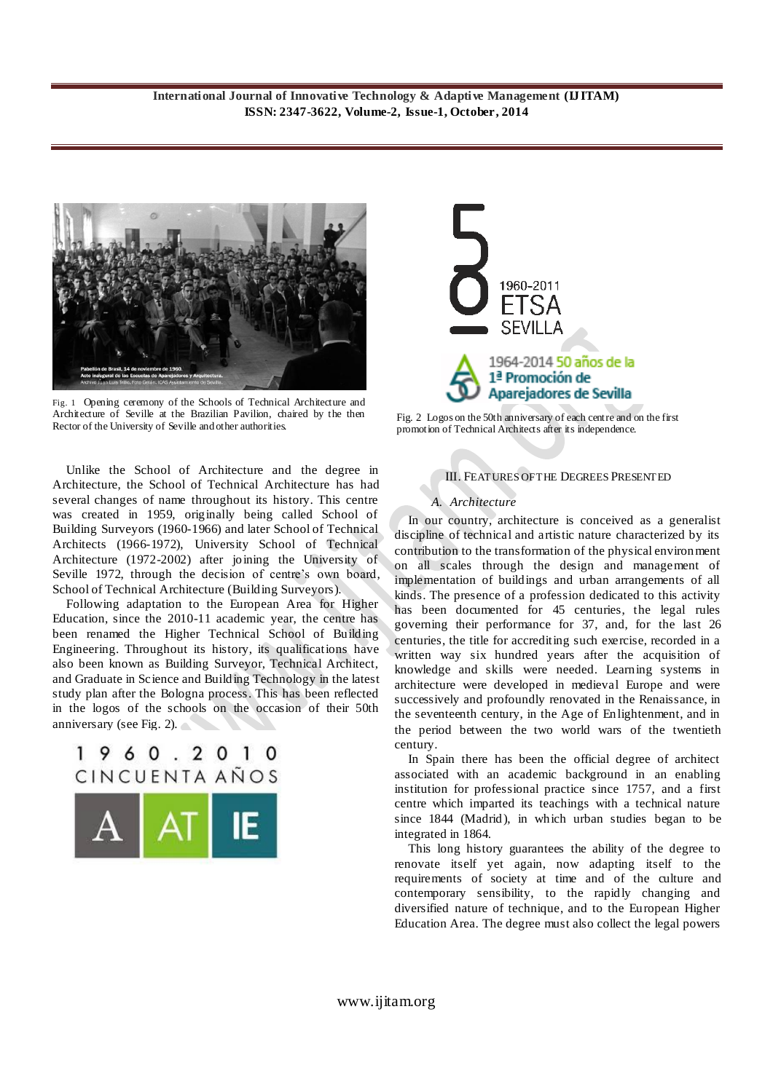

Fig. 1 Opening ceremony of the Schools of Technical Architecture and Architecture of Seville at the Brazilian Pavilion, chaired by the then Rector of the University of Seville and other authorities.

Unlike the School of Architecture and the degree in Architecture, the School of Technical Architecture has had several changes of name throughout its history. This centre was created in 1959, originally being called School of Building Surveyors (1960-1966) and later School of Technical Architects (1966-1972), University School of Technical Architecture (1972-2002) after joining the University of Seville 1972, through the decision of centre's own board, School of Technical Architecture (Building Surveyors).

Following adaptation to the European Area for Higher Education, since the 2010-11 academic year, the centre has been renamed the Higher Technical School of Building Engineering. Throughout its history, its qualifications have also been known as Building Surveyor, Technical Architect, and Graduate in Science and Building Technology in the latest study plan after the Bologna process. This has been reflected in the logos of the schools on the occasion of their 50th anniversary (see Fig. 2).

# 1960.2010 CINCUENTA AÑOS





Fig. 2Logos on the 50th anniversary of each centre and on the first promotion of Technical Architects after its independence.

# III. FEATURES OF THE DEGREES PRESENTED

# *A. Architecture*

In our country, architecture is conceived as a generalist discipline of technical and artistic nature characterized by its contribution to the transformation of the physical environment on all scales through the design and management of implementation of buildings and urban arrangements of all kinds. The presence of a profession dedicated to this activity has been documented for 45 centuries, the legal rules governing their performance for 37, and, for the last 26 centuries, the title for accrediting such exercise, recorded in a written way six hundred years after the acquisition of knowledge and skills were needed. Learning systems in architecture were developed in medieval Europe and were successively and profoundly renovated in the Renaissance, in the seventeenth century, in the Age of Enlightenment, and in the period between the two world wars of the twentieth century.

In Spain there has been the official degree of architect associated with an academic background in an enabling institution for professional practice since 1757, and a first centre which imparted its teachings with a technical nature since 1844 (Madrid), in which urban studies began to be integrated in 1864.

This long history guarantees the ability of the degree to renovate itself yet again, now adapting itself to the requirements of society at time and of the culture and contemporary sensibility, to the rapidly changing and diversified nature of technique, and to the European Higher Education Area. The degree must also collect the legal powers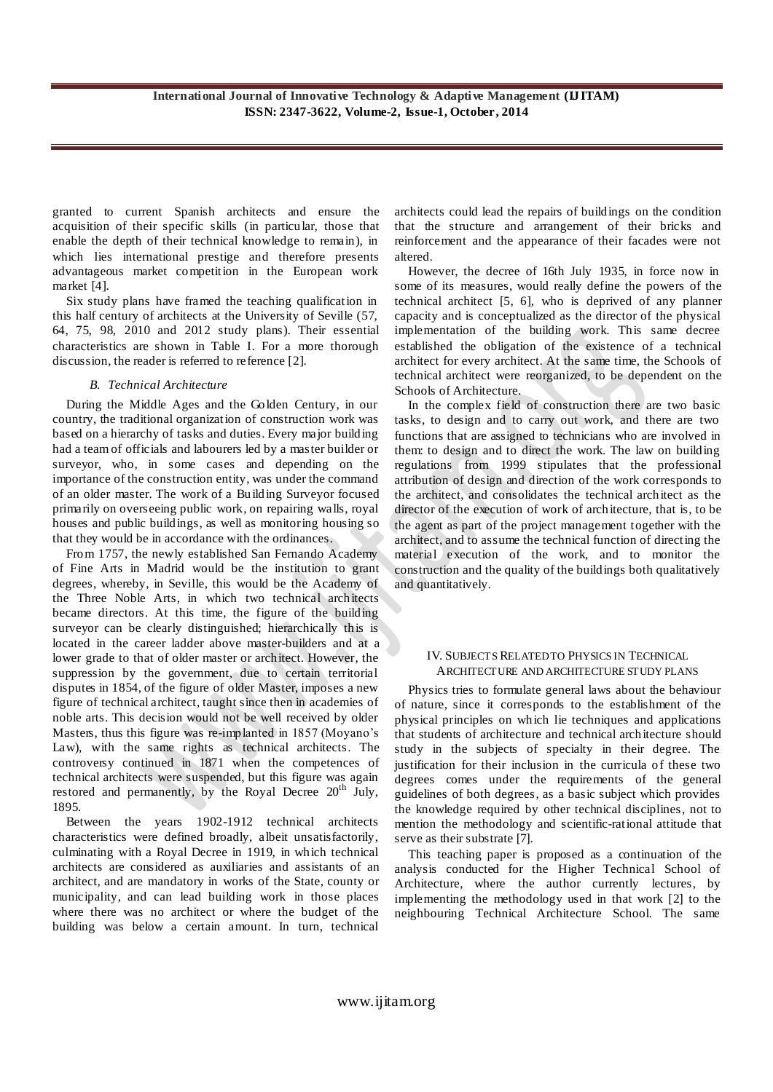granted to current Spanish architects and ensure the acquisition of their specific skills (in particular, those that enable the depth of their technical knowledge to remain), in which lies international prestige and therefore presents advantageous market competition in the European work market [4].

Six study plans have framed the teaching qualification in this half century of architects at the University of Seville (57, 64, 75, 98, 2010 and 2012 study plans). Their essential characteristics are shown in Table I. For a more thorough discussion, the reader is referred to reference [2].

# *B. Technical Architecture*

During the Middle Ages and the Golden Century, in our country, the traditional organization of construction work was based on a hierarchy of tasks and duties. Every major building had a team of officials and labourers led by a master builder or surveyor, who, in some cases and depending on the importance of the construction entity, was under the command of an older master. The work of a Building Surveyor focused primarily on overseeing public work, on repairing walls, royal houses and public buildings, as well as monitoring housing so that they would be in accordance with the ordinances.

From 1757, the newly established San Fernando Academy of Fine Arts in Madrid would be the institution to grant degrees, whereby, in Seville, this would be the Academy of the Three Noble Arts, in which two technical architects became directors. At this time, the figure of the building surveyor can be clearly distinguished; hierarchically this is located in the career ladder above master-builders and at a lower grade to that of older master or architect. However, the suppression by the government, due to certain territorial disputes in 1854, of the figure of older Master, imposes a new figure of technical architect, taught since then in academies of noble arts. This decision would not be well received by older Masters, thus this figure was re-implanted in 1857 (Moyano's Law), with the same rights as technical architects. The controversy continued in 1871 when the competences of technical architects were suspended, but this figure was again restored and permanently, by the Royal Decree 20<sup>th</sup> July, 1895.

Between the years 1902-1912 technical architects characteristics were defined broadly, albeit unsatisfactorily, culminating with a Royal Decree in 1919, in which technical architects are considered as auxiliaries and assistants of an architect, and are mandatory in works of the State, county or municipality, and can lead building work in those places where there was no architect or where the budget of the building was below a certain amount. In turn, technical architects could lead the repairs of buildings on the condition that the structure and arrangement of their bricks and reinforcement and the appearance of their facades were not altered.

However, the decree of 16th July 1935, in force now in some of its measures, would really define the powers of the technical architect [5, 6], who is deprived of any planner capacity and is conceptualized as the director of the physical implementation of the building work. This same decree established the obligation of the existence of a technical architect for every architect. At the same time, the Schools of technical architect were reorganized, to be dependent on the Schools of Architecture.

In the complex field of construction there are two basic tasks, to design and to carry out work, and there are two functions that are assigned to technicians who are involved in them: to design and to direct the work. The law on building regulations from 1999 stipulates that the professional attribution of design and direction of the work corresponds to the architect, and consolidates the technical architect as the director of the execution of work of architecture, that is, to be the agent as part of the project management together with the architect, and to assume the technical function of directing the material execution of the work, and to monitor the construction and the quality of the buildings both qualitatively and quantitatively.

# IV. SUBJECTS RELATED TO PHYSICS IN TECHNICAL ARCHITECTURE AND ARCHITECTURE STUDY PLANS

Physics tries to formulate general laws about the behaviour of nature, since it corresponds to the establishment of the physical principles on which lie techniques and applications that students of architecture and technical architecture should study in the subjects of specialty in their degree. The justification for their inclusion in the curricula of these two degrees comes under the requirements of the general guidelines of both degrees, as a basic subject which provides the knowledge required by other technical disciplines, not to mention the methodology and scientific-rational attitude that serve as their substrate [7].

This teaching paper is proposed as a continuation of the analysis conducted for the Higher Technical School of Architecture, where the author currently lectures, by implementing the methodology used in that work [2] to the neighbouring Technical Architecture School. The same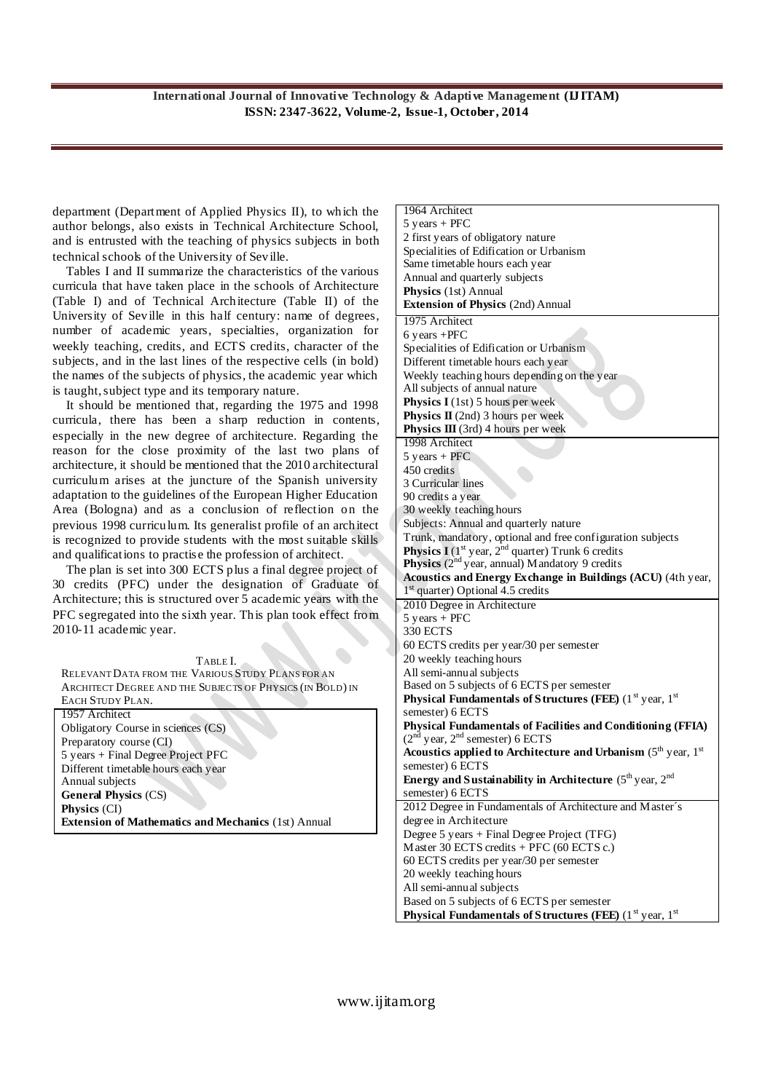department (Department of Applied Physics II), to which the author belongs, also exists in Technical Architecture School, and is entrusted with the teaching of physics subjects in both technical schools of the University of Seville.

Tables I and II summarize the characteristics of the various curricula that have taken place in the schools of Architecture (Table I) and of Technical Architecture (Table II) of the University of Seville in this half century: name of degrees, number of academic years, specialties, organization for weekly teaching, credits, and ECTS credits, character of the subjects, and in the last lines of the respective cells (in bold) the names of the subjects of physics, the academic year which is taught, subject type and its temporary nature.

It should be mentioned that, regarding the 1975 and 1998 curricula, there has been a sharp reduction in contents, especially in the new degree of architecture. Regarding the reason for the close proximity of the last two plans of architecture, it should be mentioned that the 2010 architectural curriculum arises at the juncture of the Spanish university adaptation to the guidelines of the European Higher Education Area (Bologna) and as a conclusion of reflection on the previous 1998 curriculum. Its generalist profile of an architect is recognized to provide students with the most suitable skills and qualifications to practise the profession of architect.

The plan is set into 300 ECTS plus a final degree project of 30 credits (PFC) under the designation of Graduate of Architecture; this is structured over 5 academic years with the PFC segregated into the sixth year. This plan took effect from 2010-11 academic year.

#### TABLE I.

RELEVANT DATA FROM THE VARIOUS STUDY PLANS FOR AN ARCHITECT DEGREE AND THE SUBJECTS OF PHYSICS (IN BOLD) IN EACH STUDY PLAN.

1957 Architect Obligatory Course in sciences (CS) Preparatory course (CI) 5 years + Final Degree Project PFC Different timetable hours each year Annual subjects **General Physics** (CS) **Physics** (CI) **Extension of Mathematics and Mechanics** (1st) Annual

| 1964 Architect                                                                                                                                  |
|-------------------------------------------------------------------------------------------------------------------------------------------------|
| $5$ years + PFC                                                                                                                                 |
| 2 first years of obligatory nature                                                                                                              |
| Specialities of Edification or Urbanism                                                                                                         |
| Same timetable hours each year                                                                                                                  |
| Annual and quarterly subjects                                                                                                                   |
| Physics (1st) Annual                                                                                                                            |
| <b>Extension of Physics (2nd) Annual</b>                                                                                                        |
| 1975 Architect                                                                                                                                  |
| $6$ years +PFC                                                                                                                                  |
| Specialities of Edification or Urbanism                                                                                                         |
| Different timetable hours each year                                                                                                             |
| Weekly teaching hours depending on the year                                                                                                     |
| All subjects of annual nature                                                                                                                   |
| Physics I (1st) 5 hours per week                                                                                                                |
| <b>Physics II</b> (2nd) 3 hours per week                                                                                                        |
| Physics III (3rd) 4 hours per week                                                                                                              |
| 1998 Architect                                                                                                                                  |
| $5$ years + PFC                                                                                                                                 |
| 450 credits                                                                                                                                     |
| 3 Curricular lines                                                                                                                              |
| 90 credits a year                                                                                                                               |
| 30 weekly teaching hours                                                                                                                        |
| Subjects: Annual and quarterly nature                                                                                                           |
| Trunk, mandatory, optional and free configuration subjects<br><b>Physics I</b> ( $1^{\text{st}}$ year, $2^{\text{nd}}$ quarter) Trunk 6 credits |
| <b>Physics</b> $(2nd$ year, annual) M and atory 9 credits                                                                                       |
| Acoustics and Energy Exchange in Buildings (ACU) (4th year,                                                                                     |
| $1st$ quarter) Optional 4.5 credits                                                                                                             |
| 2010 Degree in Architecture                                                                                                                     |
| $5 \text{ years} + \text{PFC}$                                                                                                                  |
| 330 ECTS                                                                                                                                        |
| 60 ECTS credits per year/30 per semester                                                                                                        |
| 20 weekly teaching hours                                                                                                                        |
| All semi-annual subjects                                                                                                                        |
| Based on 5 subjects of 6 ECTS per semester                                                                                                      |
| <b>Physical Fundamentals of Structures (FEE)</b> ( $1st$ year, $1st$                                                                            |
| semester) 6 ECTS                                                                                                                                |
| Physical Fundamentals of Facilities and Conditioning (FFIA)                                                                                     |
| $(2nd$ year, $2nd$ semester) 6 ECTS                                                                                                             |
| Acoustics applied to Architecture and Urbanism $(5th$ year, $1st$                                                                               |
| semester) 6 ECTS                                                                                                                                |
| Energy and Sustainability in Architecture ( $5^{\text{th}}$ year, $2^{\text{nd}}$                                                               |
| semester) 6 ECTS                                                                                                                                |
| 2012 Degree in Fundamentals of Architecture and Master's                                                                                        |
|                                                                                                                                                 |
| degree in Architecture                                                                                                                          |
| Degree 5 years + Final Degree Project (TFG)                                                                                                     |
| Master 30 ECTS credits + PFC (60 ECTS c.)                                                                                                       |
| 60 ECTS credits per year/30 per semester                                                                                                        |
| 20 weekly teaching hours                                                                                                                        |
| All semi-annual subjects                                                                                                                        |
| Based on 5 subjects of 6 ECTS per semester<br><b>Physical Fundamentals of Structures (FEE)</b> ( $1st$ year, $1st$                              |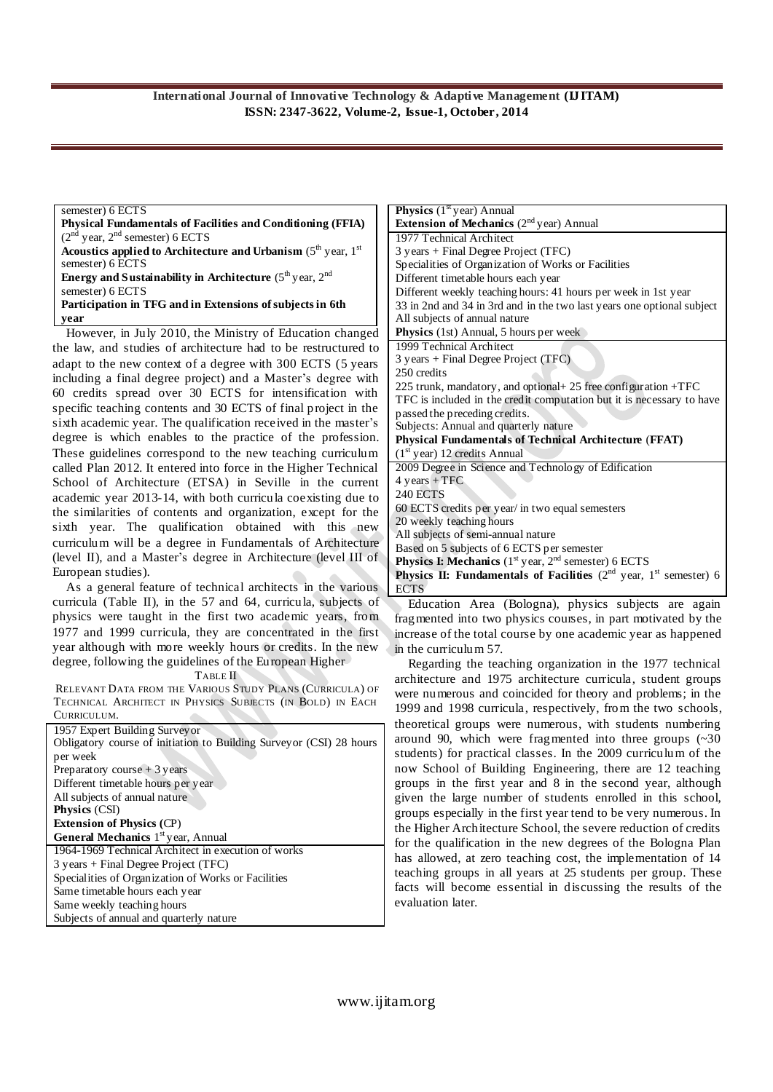#### semester) 6 ECTS

**Physical Fundamentals of Facilities and Conditioning (FFIA)**  $(2<sup>nd</sup>$  year,  $2<sup>nd</sup>$  semester) 6 ECTS **Acoustics applied to Architecture and Urbanism**  $(5<sup>th</sup>$  **year, 1<sup>st</sup>** semester) 6 ECTS **Energy and Sustainability in Architecture**  $(5<sup>th</sup>$ year,  $2<sup>nd</sup>$ semester) 6 ECTS **Participation in TFG and in Extensions of subjects in 6th year** However, in July 2010, the Ministry of Education changed

the law, and studies of architecture had to be restructured to adapt to the new context of a degree with 300 ECTS (5 years including a final degree project) and a Master's degree with 60 credits spread over 30 ECTS for intensification with specific teaching contents and 30 ECTS of final project in the sixth academic year. The qualification received in the master's degree is which enables to the practice of the profession. These guidelines correspond to the new teaching curriculum called Plan 2012. It entered into force in the Higher Technical School of Architecture (ETSA) in Seville in the current academic year 2013-14, with both curricula coexisting due to the similarities of contents and organization, except for the sixth year. The qualification obtained with this new curriculum will be a degree in Fundamentals of Architecture (level II), and a Master's degree in Architecture (level III of European studies).

As a general feature of technical architects in the various curricula (Table II), in the 57 and 64, curricula, subjects of physics were taught in the first two academic years, from 1977 and 1999 curricula, they are concentrated in the first year although with more weekly hours or credits. In the new degree, following the guidelines of the European Higher

TABLE II

RELEVANT DATA FROM THE VARIOUS STUDY PLANS (CURRICULA) OF TECHNICAL ARCHITECT IN PHYSICS SUBJECTS (IN BOLD) IN EACH CURRICULUM.

| 1957 Expert Building Survey or                                      |
|---------------------------------------------------------------------|
| Obligatory course of initiation to Building Surveyor (CSI) 28 hours |
| per week                                                            |
| Preparatory course $+3$ years                                       |
| Different timetable hours per year                                  |
| All subjects of annual nature                                       |
| <b>Physics</b> (CSI)                                                |
| <b>Extension of Physics (CP)</b>                                    |
| <b>General Mechanics</b> 1 <sup>st</sup> year, Annual               |
| 1964-1969 Technical Architect in execution of works                 |
| 3 years + Final Degree Project (TFC)                                |
| Specialities of Organization of Works or Facilities                 |
| Same timetable hours each year                                      |
| Same weekly teaching hours                                          |
| Subjects of annual and quarterly nature                             |

| <b>Physics</b> $(1st$ year) Annual                                                                |
|---------------------------------------------------------------------------------------------------|
| <b>Extension of Mechanics</b> $(2nd$ year) Annual                                                 |
| 1977 Technical Architect                                                                          |
| 3 years + Final Degree Project (TFC)                                                              |
| Specialities of Organization of Works or Facilities                                               |
| Different timetable hours each year                                                               |
| Different weekly teaching hours: 41 hours per week in 1st year                                    |
| 33 in 2nd and 34 in 3rd and in the two last years one optional subject                            |
| All subjects of annual nature                                                                     |
| Physics (1st) Annual, 5 hours per week                                                            |
| 1999 Technical Architect                                                                          |
| 3 years + Final Degree Project (TFC)                                                              |
| 250 credits                                                                                       |
| 225 trunk, mandatory, and optional + 25 free configuration $+TFC$                                 |
| TFC is included in the credit computation but it is necessary to have                             |
| passed the preceding credits.                                                                     |
| Subjects: Annual and quarterly nature                                                             |
| Physical Fundamentals of Technical Architecture (FFAT)                                            |
| $(1st$ year) 12 credits Annual                                                                    |
| 2009 Degree in Science and Technology of Edification                                              |
| $4 \text{ years} + \text{TFC}$                                                                    |
| <b>240 ECTS</b>                                                                                   |
| 60 ECTS credits per year/ in two equal semesters                                                  |
| 20 weekly teaching hours                                                                          |
| All subjects of semi-annual nature                                                                |
| Based on 5 subjects of 6 ECTS per semester                                                        |
| <b>Physics I: Mechanics</b> ( $1st$ year, $2nd$ semester) 6 ECTS                                  |
| <b>Physics II: Fundamentals of Facilities</b> $(2^{nd}$ year, $1^{st}$ semester) 6<br><b>ECTS</b> |

Education Area (Bologna), physics subjects are again fragmented into two physics courses, in part motivated by the increase of the total course by one academic year as happened in the curriculum 57.

Regarding the teaching organization in the 1977 technical architecture and 1975 architecture curricula, student groups were numerous and coincided for theory and problems; in the 1999 and 1998 curricula, respectively, from the two schools, theoretical groups were numerous, with students numbering around 90, which were fragmented into three groups (~30 students) for practical classes. In the 2009 curriculum of the now School of Building Engineering, there are 12 teaching groups in the first year and 8 in the second year, although given the large number of students enrolled in this school, groups especially in the first year tend to be very numerous. In the Higher Architecture School, the severe reduction of credits for the qualification in the new degrees of the Bologna Plan has allowed, at zero teaching cost, the implementation of 14 teaching groups in all years at 25 students per group. These facts will become essential in discussing the results of the evaluation later.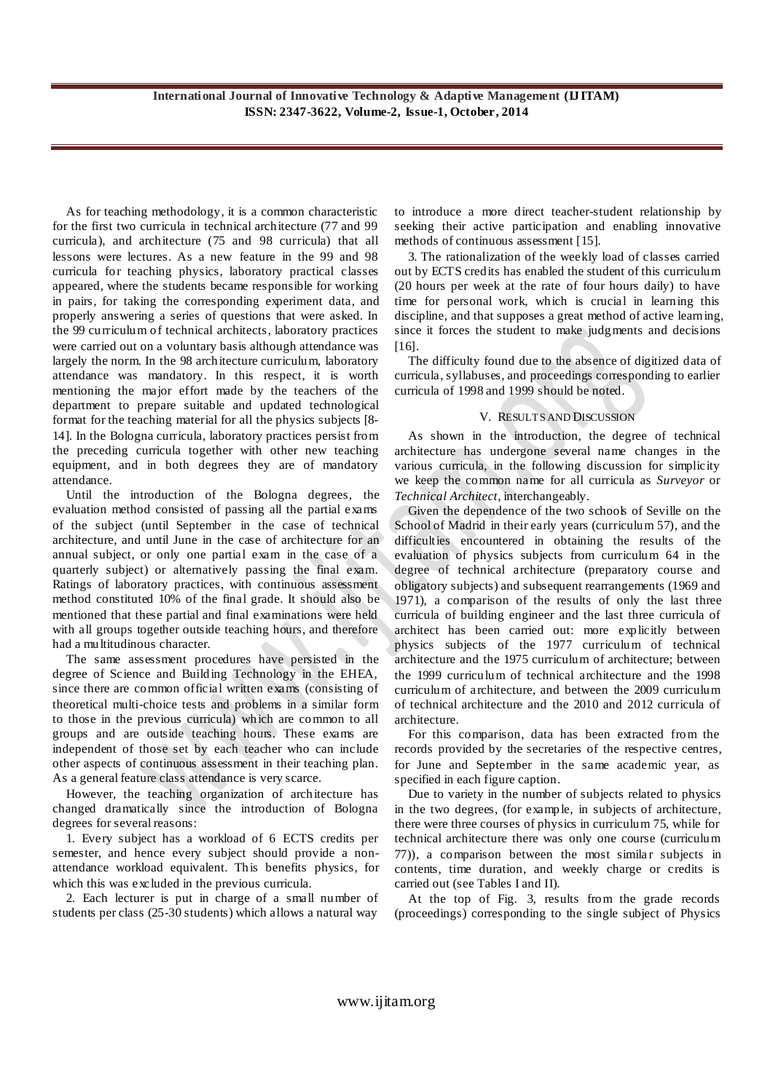As for teaching methodology, it is a common characteristic for the first two curricula in technical architecture (77 and 99 curricula), and architecture (75 and 98 curricula) that all lessons were lectures. As a new feature in the 99 and 98 curricula for teaching physics, laboratory practical classes appeared, where the students became responsible for working in pairs, for taking the corresponding experiment data, and properly answering a series of questions that were asked. In the 99 curriculum of technical architects, laboratory practices were carried out on a voluntary basis although attendance was largely the norm. In the 98 architecture curriculum, laboratory attendance was mandatory. In this respect, it is worth mentioning the major effort made by the teachers of the department to prepare suitable and updated technological format for the teaching material for all the physics subjects [8- 14]. In the Bologna curricula, laboratory practices persist from the preceding curricula together with other new teaching equipment, and in both degrees they are of mandatory attendance.

Until the introduction of the Bologna degrees, the evaluation method consisted of passing all the partial exams of the subject (until September in the case of technical architecture, and until June in the case of architecture for an annual subject, or only one partial exam in the case of a quarterly subject) or alternatively passing the final exam. Ratings of laboratory practices, with continuous assessment method constituted 10% of the final grade. It should also be mentioned that these partial and final examinations were held with all groups together outside teaching hours, and therefore had a multitudinous character.

The same assessment procedures have persisted in the degree of Science and Building Technology in the EHEA, since there are common official written exams (consisting of theoretical multi-choice tests and problems in a similar form to those in the previous curricula) which are common to all groups and are outside teaching hours. These exams are independent of those set by each teacher who can include other aspects of continuous assessment in their teaching plan. As a general feature class attendance is very scarce.

However, the teaching organization of architecture has changed dramatically since the introduction of Bologna degrees for several reasons:

1. Every subject has a workload of 6 ECTS credits per semester, and hence every subject should provide a nonattendance workload equivalent. This benefits physics, for which this was excluded in the previous curricula.

2. Each lecturer is put in charge of a small number of students per class (25-30 students) which allows a natural way

to introduce a more direct teacher-student relationship by seeking their active participation and enabling innovative methods of continuous assessment [15].

3. The rationalization of the weekly load of classes carried out by ECTS credits has enabled the student of this curriculum (20 hours per week at the rate of four hours daily) to have time for personal work, which is crucial in learning this discipline, and that supposes a great method of active learning, since it forces the student to make judgments and decisions [16].

The difficulty found due to the absence of digitized data of curricula, syllabuses, and proceedings corresponding to earlier curricula of 1998 and 1999 should be noted.

# V. RESULTS AND DISCUSSION

As shown in the introduction, the degree of technical architecture has undergone several name changes in the various curricula, in the following discussion for simplicity we keep the common name for all curricula as *Surveyor* or *Technical Architect,* interchangeably.

Given the dependence of the two schools of Seville on the School of Madrid in their early years (curriculum 57), and the difficulties encountered in obtaining the results of the evaluation of physics subjects from curriculum 64 in the degree of technical architecture (preparatory course and obligatory subjects) and subsequent rearrangements (1969 and 1971), a comparison of the results of only the last three curricula of building engineer and the last three curricula of architect has been carried out: more explicitly between physics subjects of the 1977 curriculum of technical architecture and the 1975 curriculum of architecture; between the 1999 curriculum of technical architecture and the 1998 curriculum of architecture, and between the 2009 curriculum of technical architecture and the 2010 and 2012 curricula of architecture.

For this comparison, data has been extracted from the records provided by the secretaries of the respective centres, for June and September in the same academic year, as specified in each figure caption.

Due to variety in the number of subjects related to physics in the two degrees, (for example, in subjects of architecture, there were three courses of physics in curriculum 75, while for technical architecture there was only one course (curriculum 77)), a comparison between the most similar subjects in contents, time duration, and weekly charge or credits is carried out (see Tables I and II).

At the top of Fig. 3, results from the grade records (proceedings) corresponding to the single subject of Physics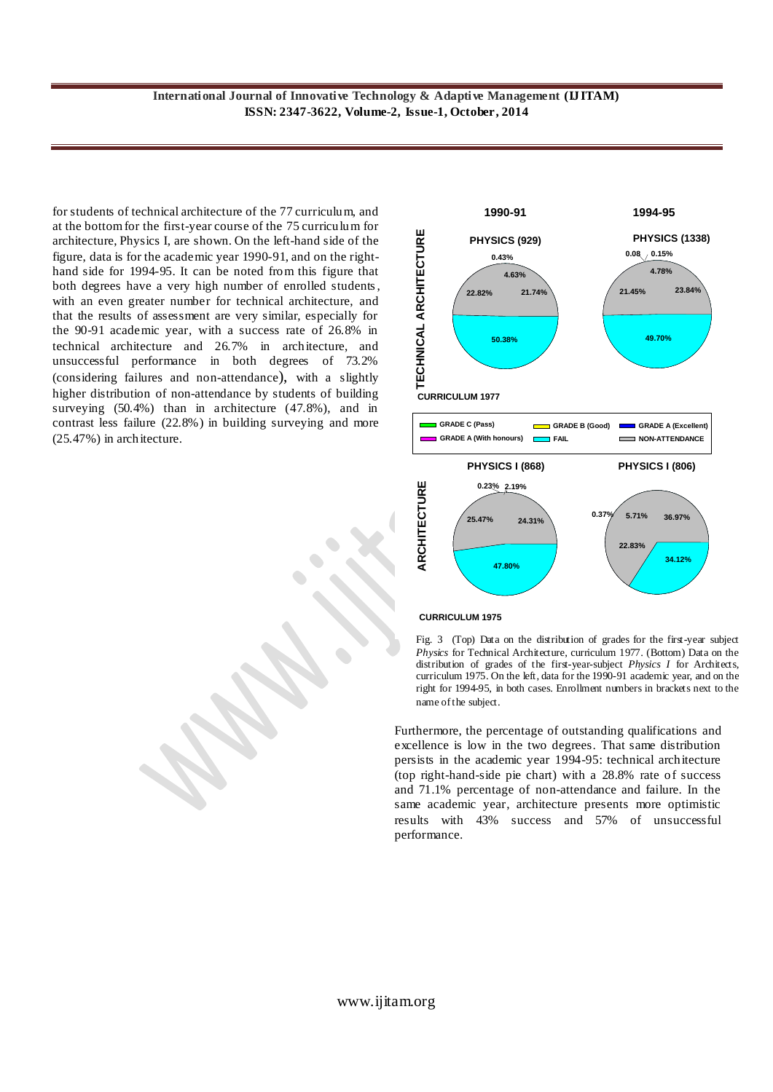for students of technical architecture of the 77 curriculum, and at the bottom for the first-year course of the 75 curriculum for architecture, Physics I, are shown. On the left-hand side of the figure, data is for the academic year 1990-91, and on the righthand side for 1994-95. It can be noted from this figure that both degrees have a very high number of enrolled students, with an even greater number for technical architecture, and that the results of assessment are very similar, especially for the 90-91 academic year, with a success rate of 26.8% in technical architecture and 26.7% in architecture, and unsuccessful performance in both degrees of 73.2% (considering failures and non-attendance), with a slightly higher distribution of non-attendance by students of building surveying (50.4%) than in architecture (47.8%), and in contrast less failure (22.8%) in building surveying and more architecture, Physics I, are shown. On the left-hand side of the<br>figure, data is for the academic year 1990-91, and on the right-<br>hand side for 1994-95. It can be noted from this figure that<br>both degrees have a very high n





Fig. 3 (Top) Data on the distribution of grades for the first-year subject *Physics* for Technical Architecture, curriculum 1977. (Bottom) Data on the distribution of grades of the first-year-subject *Physics I* for Architects, curriculum 1975. On the left, data for the 1990-91 academic year, and on the right for 1994-95, in both cases. Enrollment numbers in brackets next to the name of the subject.

Furthermore, the percentage of outstanding qualifications and excellence is low in the two degrees. That same distribution persists in the academic year 1994-95: technical architecture (top right-hand-side pie chart) with a 28.8% rate of success and 71.1% percentage of non-attendance and failure. In the same academic year, architecture presents more optimistic results with 43% success and 57% of unsuccessful performance.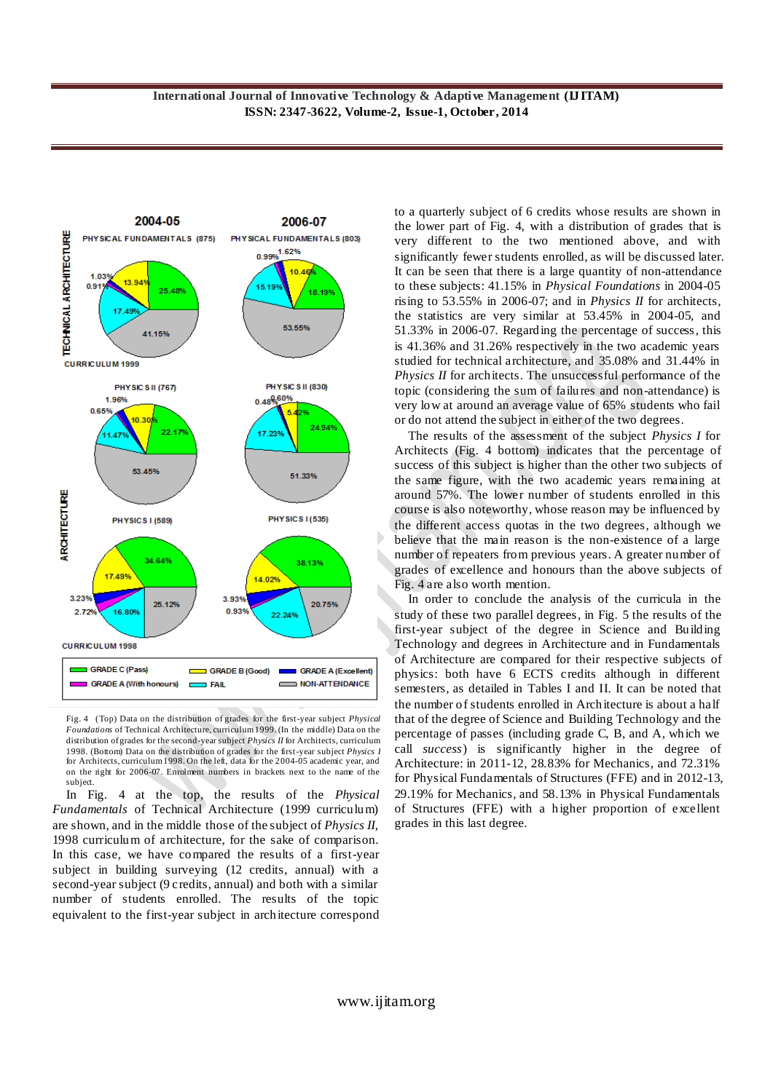

Fig. 4 (Top) Data on the distribution of grades for the first-year subject *Physical Foundations* of Technical Architecture, curriculum 1999. (In the middle) Data on the distribution of grades for the second-year subject *Physics II* for Architects, curriculum 1998. (Bottom) Data on the distribution of grades for the first-year subject *Physics I* for Architects, curriculum 1998. On the left, data for the 2004-05 academic year, and on the right for 2006-07. Enrolment numbers in brackets next to the name of the subject.

In Fig. 4 at the top, the results of the *Physical Fundamentals* of Technical Architecture (1999 curriculum) are shown, and in the middle those of the subject of *Physics II*, 1998 curriculum of architecture, for the sake of comparison. In this case, we have compared the results of a first-year subject in building surveying (12 credits, annual) with a second-year subject (9 credits, annual) and both with a similar number of students enrolled. The results of the topic equivalent to the first-year subject in architecture correspond

to a quarterly subject of 6 credits whose results are shown in the lower part of Fig. 4, with a distribution of grades that is very different to the two mentioned above, and with significantly fewer students enrolled, as will be discussed later. It can be seen that there is a large quantity of non-attendance to these subjects: 41.15% in *Physical Foundations* in 2004-05 rising to 53.55% in 2006-07; and in *Physics II* for architects, the statistics are very similar at 53.45% in 2004-05, and 51.33% in 2006-07. Regarding the percentage of success, this is 41.36% and 31.26% respectively in the two academic years studied for technical architecture, and 35.08% and 31.44% in *Physics II* for architects. The unsuccessful performance of the topic (considering the sum of failures and non-attendance) is very low at around an average value of 65% students who fail or do not attend the subject in either of the two degrees.

The results of the assessment of the subject *Physics I* for Architects (Fig. 4 bottom) indicates that the percentage of success of this subject is higher than the other two subjects of the same figure, with the two academic years remaining at around 57%. The lower number of students enrolled in this course is also noteworthy, whose reason may be influenced by the different access quotas in the two degrees, although we believe that the main reason is the non-existence of a large number of repeaters from previous years. A greater number of grades of excellence and honours than the above subjects of Fig. 4 are also worth mention.

In order to conclude the analysis of the curricula in the study of these two parallel degrees, in Fig. 5 the results of the first-year subject of the degree in Science and Building Technology and degrees in Architecture and in Fundamentals of Architecture are compared for their respective subjects of physics: both have 6 ECTS credits although in different semesters, as detailed in Tables I and II. It can be noted that the number of students enrolled in Architecture is about a half that of the degree of Science and Building Technology and the percentage of passes (including grade C, B, and A, which we call *success*) is significantly higher in the degree of Architecture: in 2011-12, 28.83% for Mechanics, and 72.31% for Physical Fundamentals of Structures (FFE) and in 2012-13, 29.19% for Mechanics, and 58.13% in Physical Fundamentals of Structures (FFE) with a higher proportion of excellent grades in this last degree.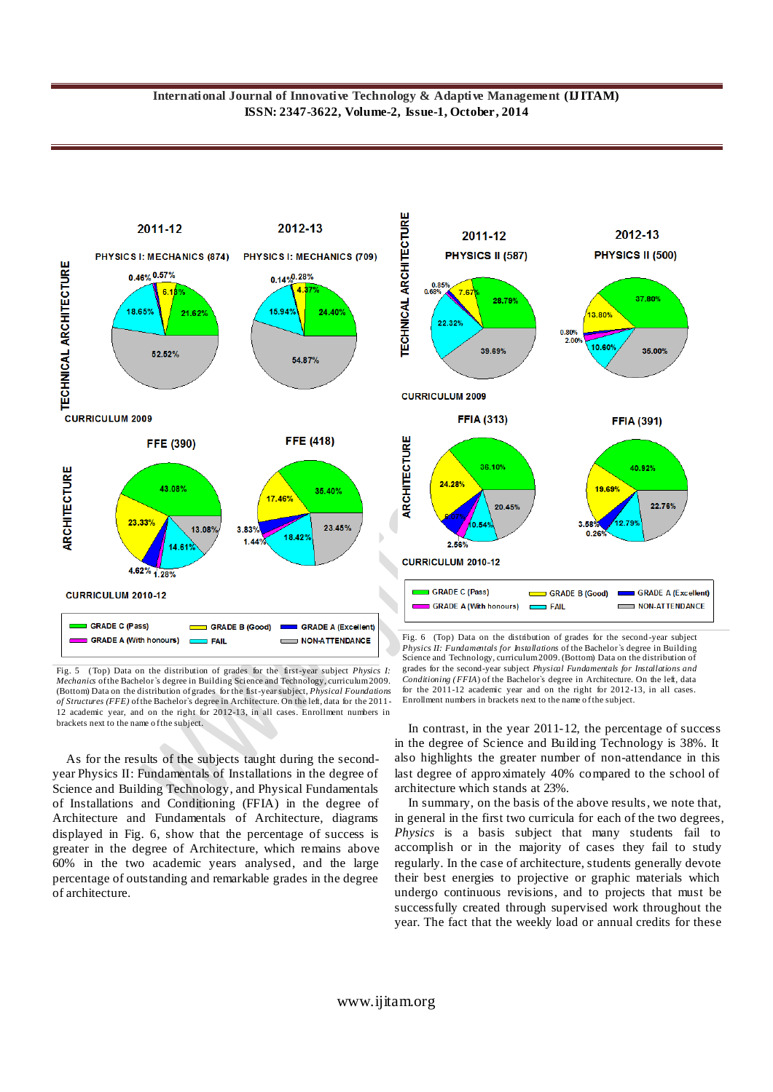

Fig. 5 (Top) Data on the distribution of grades for the first-year subject *Physics I: Mechanics* of the Bachelor`s degree in Building Science and Technology, curriculum 2009. (Bottom) Data on the distribution of grades for the fist-year subject, *Physical Foundations of Structures (FFE)* of the Bachelor`s degree in Architecture. On the left, data for the 2011- 12 academic year, and on the right for 2012-13, in all cases. Enrollment numbers in brackets next to the name o f the subject.

As for the results of the subjects taught during the secondyear Physics II: Fundamentals of Installations in the degree of Science and Building Technology, and Physical Fundamentals of Installations and Conditioning (FFIA) in the degree of Architecture and Fundamentals of Architecture, diagrams displayed in Fig. 6, show that the percentage of success is greater in the degree of Architecture, which remains above 60% in the two academic years analysed, and the large percentage of outstanding and remarkable grades in the degree of architecture.



Fig. 6(Top) Data on the distribution of grades for the second-year subject *Physics II: Fundamentals for Installations* of the Bachelor`s degree in Building Science and Technology, curriculum 2009. (Bottom) Data on the distribution of grades for the second-year subject *Physical Fundamentals for Installations and Conditioning (FFIA*) of the Bachelor`s degree in Architecture. On the left, data for the 2011-12 academic year and on the right for 2012-13, in all cases. Enrollment numbers in brackets next to the name of the subject.

In contrast, in the year 2011-12, the percentage of success in the degree of Science and Building Technology is 38%. It also highlights the greater number of non-attendance in this last degree of approximately 40% compared to the school of architecture which stands at 23%.

In summary, on the basis of the above results, we note that, in general in the first two curricula for each of the two degrees, *Physics* is a basis subject that many students fail to accomplish or in the majority of cases they fail to study regularly. In the case of architecture, students generally devote their best energies to projective or graphic materials which undergo continuous revisions, and to projects that must be successfully created through supervised work throughout the year. The fact that the weekly load or annual credits for these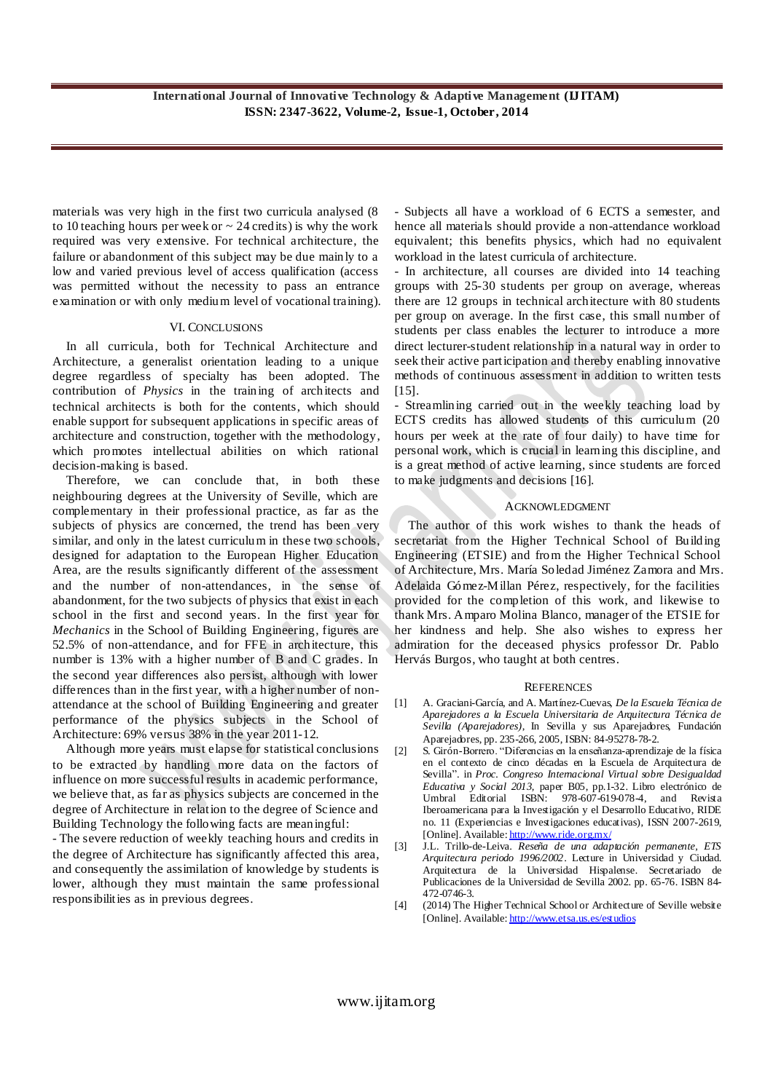materials was very high in the first two curricula analysed (8 to 10 teaching hours per week or  $\sim$  24 credits) is why the work required was very extensive. For technical architecture, the failure or abandonment of this subject may be due mainly to a low and varied previous level of access qualification (access was permitted without the necessity to pass an entrance examination or with only medium level of vocational training).

#### VI. CONCLUSIONS

In all curricula, both for Technical Architecture and Architecture, a generalist orientation leading to a unique degree regardless of specialty has been adopted. The contribution of *Physics* in the training of architects and technical architects is both for the contents, which should enable support for subsequent applications in specific areas of architecture and construction, together with the methodology, which promotes intellectual abilities on which rational decision-making is based.

Therefore, we can conclude that, in both these neighbouring degrees at the University of Seville, which are complementary in their professional practice, as far as the subjects of physics are concerned, the trend has been very similar, and only in the latest curriculum in these two schools, designed for adaptation to the European Higher Education Area, are the results significantly different of the assessment and the number of non-attendances, in the sense of abandonment, for the two subjects of physics that exist in each school in the first and second years. In the first year for *Mechanics* in the School of Building Engineering, figures are 52.5% of non-attendance, and for FFE in architecture, this number is 13% with a higher number of B and C grades. In the second year differences also persist, although with lower differences than in the first year, with a higher number of nonattendance at the school of Building Engineering and greater performance of the physics subjects in the School of Architecture: 69% versus 38% in the year 2011-12.

Although more years must elapse for statistical conclusions to be extracted by handling more data on the factors of influence on more successful results in academic performance, we believe that, as far as physics subjects are concerned in the degree of Architecture in relation to the degree of Science and Building Technology the following facts are meaningful:

- The severe reduction of weekly teaching hours and credits in the degree of Architecture has significantly affected this area, and consequently the assimilation of knowledge by students is lower, although they must maintain the same professional responsibilities as in previous degrees.

- Subjects all have a workload of 6 ECTS a semester, and hence all materials should provide a non-attendance workload equivalent; this benefits physics, which had no equivalent workload in the latest curricula of architecture.

- In architecture, all courses are divided into 14 teaching groups with 25-30 students per group on average, whereas there are 12 groups in technical architecture with 80 students per group on average. In the first case, this small number of students per class enables the lecturer to introduce a more direct lecturer-student relationship in a natural way in order to seek their active participation and thereby enabling innovative methods of continuous assessment in addition to written tests [15].

Streamlining carried out in the weekly teaching load by ECTS credits has allowed students of this curriculum (20 hours per week at the rate of four daily) to have time for personal work, which is crucial in learning this discipline, and is a great method of active learning, since students are forced to make judgments and decisions [16].

# ACKNOWLEDGMENT

The author of this work wishes to thank the heads of secretariat from the Higher Technical School of Building Engineering (ETSIE) and from the Higher Technical School of Architecture, Mrs. María Soledad Jiménez Zamora and Mrs. Adelaida Gómez-Millan Pérez, respectively, for the facilities provided for the completion of this work, and likewise to thank Mrs. Amparo Molina Blanco, manager of the ETSIE for her kindness and help. She also wishes to express her admiration for the deceased physics professor Dr. Pablo Hervás Burgos, who taught at both centres.

#### **REFERENCES**

- [1] A. Graciani-García, and A. Martínez-Cuevas, *De la Escuela Técnica de Aparejadores a la Escuela Universitaria de Arquitectura Técnica de Sevilla (Aparejadores)*, In Sevilla y sus Aparejadores, Fundación Aparejadores, pp. 235-266, 2005, ISBN: 84-95278-78-2.
- [2] S. Girón-Borrero. "Diferencias en la enseñanza-aprendizaje de la física en el contexto de cinco décadas en la Escuela de Arquitectura de Sevilla". in *Proc. Congreso Internacional Virtual sobre Desigualdad Educativa y Social 2013,* paper B05, pp.1-32. Libro electrónico de Umbral Editorial ISBN: 978-607-619-078-4, and Revista Iberoamericana para la Investigación y el Desarrollo Educativo, RIDE no. 11 (Experiencias e Investigaciones educativas), ISSN 2007-2619, [Online]. Available: <http://www.ride.org.mx/>
- [3] J.L. Trillo-de-Leiva. *Reseña de una adaptación permanente, ETS Arquitectura periodo 1996/2002*. Lecture in Universidad y Ciudad. Arquitectura de la Universidad Hispalense*.* Secretariado de Publicaciones de la Universidad de Sevilla 2002. pp. 65-76. ISBN 84- 472-0746-3.
- [4] (2014) The Higher Technical School or Architecture of Seville website [Online]. Available[: http://www.etsa.us.es/estudios](http://www.etsa.us.es/estudios)